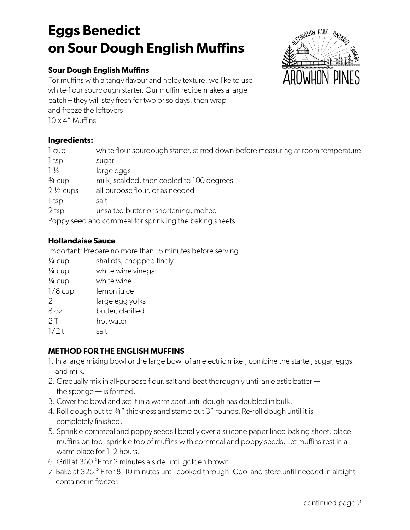# **Eggs Benedict on Sour Dough English Muffins**

### **Sour Dough English Muffins**

For muffins with a tangy flavour and holey texture, we like to use white-flour sourdough starter. Our muffin recipe makes a large batch – they will stay fresh for two or so days, then wrap and freeze the leftovers.  $10 \times 4$ " Muffins

#### **Ingredients:**

| 1 cup                                                    | white flour sourdough starter, stirred down before measuring at room temperature |  |
|----------------------------------------------------------|----------------------------------------------------------------------------------|--|
| $1$ tsp                                                  | sugar                                                                            |  |
| $1\frac{1}{2}$                                           | large eggs                                                                       |  |
| $\frac{3}{4}$ cup                                        | milk, scalded, then cooled to 100 degrees                                        |  |
| $2\frac{1}{2}$ cups                                      | all purpose flour, or as needed                                                  |  |
| 1 tsp                                                    | salt                                                                             |  |
| 2 <sub>tsp</sub>                                         | unsalted butter or shortening, melted                                            |  |
| Poppy seed and cornmeal for sprinkling the baking sheets |                                                                                  |  |

#### **Hollandaise Sauce**

Important: Prepare no more than 15 minutes before serving

- $\frac{1}{4}$  cup shallots, chopped finely <sup>1/4</sup> cup white wine vinegar ¼ cup white wine 1/8 cup lemon juice 2 large egg yolks 8 oz butter, clarified 2 T hot water
- $1/2 t$  salt

### **METHOD FOR THE ENGLISH MUFFINS**

- 1. In a large mixing bowl or the large bowl of an electric mixer, combine the starter, sugar, eggs, and milk.
- 2. Gradually mix in all-purpose flour, salt and beat thoroughly until an elastic batter the sponge — is formed.
- 3. Cover the bowl and set it in a warm spot until dough has doubled in bulk.
- 4. Roll dough out to ¾" thickness and stamp out 3" rounds. Re-roll dough until it is completely finished.
- 5. Sprinkle cornmeal and poppy seeds liberally over a silicone paper lined baking sheet, place muffins on top, sprinkle top of muffins with cornmeal and poppy seeds. Let muffins rest in a warm place for 1–2 hours.
- 6. Grill at 350 °F for 2 minutes a side until golden brown.
- 7. Bake at 325 ° F for 8–10 minutes until cooked through. Cool and store until needed in airtight container in freezer.